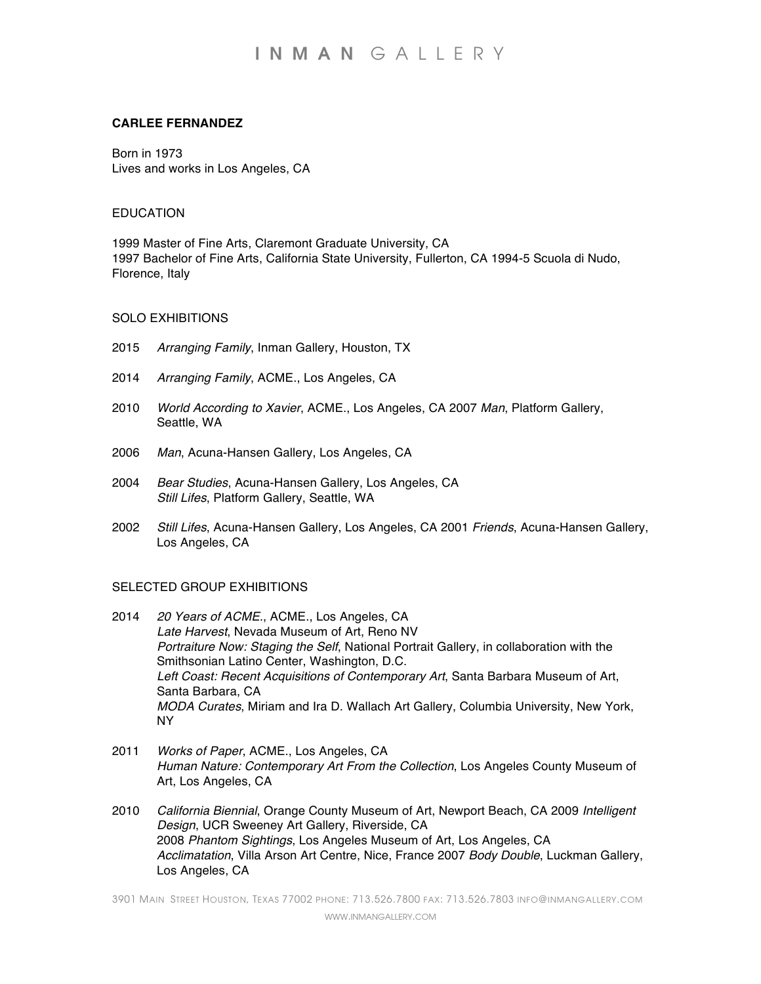# I N M A N G A L L E R Y

## **CARLEE FERNANDEZ**

Born in 1973 Lives and works in Los Angeles, CA

#### EDUCATION

1999 Master of Fine Arts, Claremont Graduate University, CA 1997 Bachelor of Fine Arts, California State University, Fullerton, CA 1994-5 Scuola di Nudo, Florence, Italy

#### SOLO EXHIBITIONS

- 2015 *Arranging Family*, Inman Gallery, Houston, TX
- 2014 *Arranging Family*, ACME., Los Angeles, CA
- 2010 *World According to Xavier*, ACME., Los Angeles, CA 2007 *Man*, Platform Gallery, Seattle, WA
- 2006 *Man*, Acuna-Hansen Gallery, Los Angeles, CA
- 2004 *Bear Studies*, Acuna-Hansen Gallery, Los Angeles, CA *Still Lifes*, Platform Gallery, Seattle, WA
- 2002 *Still Lifes*, Acuna-Hansen Gallery, Los Angeles, CA 2001 *Friends*, Acuna-Hansen Gallery, Los Angeles, CA

## SELECTED GROUP EXHIBITIONS

- 2014 *20 Years of ACME.*, ACME., Los Angeles, CA *Late Harvest*, Nevada Museum of Art, Reno NV *Portraiture Now: Staging the Self*, National Portrait Gallery, in collaboration with the Smithsonian Latino Center, Washington, D.C. *Left Coast: Recent Acquisitions of Contemporary Art*, Santa Barbara Museum of Art, Santa Barbara, CA *MODA Curates*, Miriam and Ira D. Wallach Art Gallery, Columbia University, New York, NY
- 2011 *Works of Paper*, ACME., Los Angeles, CA *Human Nature: Contemporary Art From the Collection*, Los Angeles County Museum of Art, Los Angeles, CA
- 2010 *California Biennial*, Orange County Museum of Art, Newport Beach, CA 2009 *Intelligent Design*, UCR Sweeney Art Gallery, Riverside, CA 2008 *Phantom Sightings*, Los Angeles Museum of Art, Los Angeles, CA *Acclimatation*, Villa Arson Art Centre, Nice, France 2007 *Body Double*, Luckman Gallery, Los Angeles, CA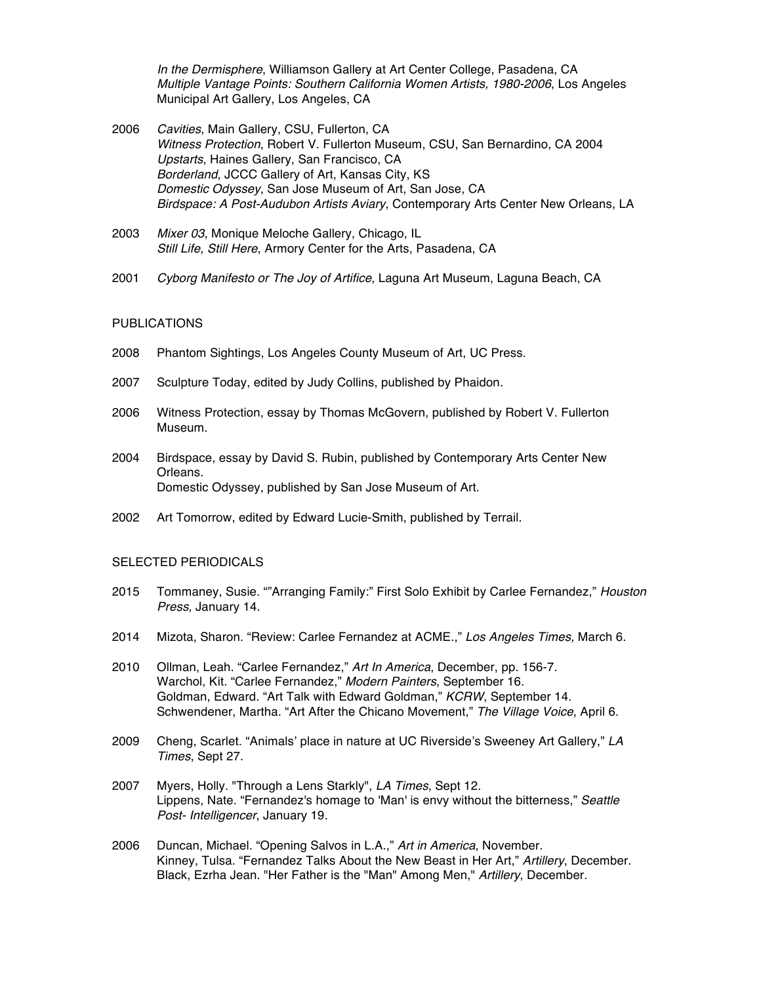*In the Dermisphere*, Williamson Gallery at Art Center College, Pasadena, CA *Multiple Vantage Points: Southern California Women Artists, 1980-2006*, Los Angeles Municipal Art Gallery, Los Angeles, CA

- 2006 *Cavities*, Main Gallery, CSU, Fullerton, CA *Witness Protection*, Robert V. Fullerton Museum, CSU, San Bernardino, CA 2004 *Upstarts*, Haines Gallery, San Francisco, CA *Borderland*, JCCC Gallery of Art, Kansas City, KS *Domestic Odyssey*, San Jose Museum of Art, San Jose, CA *Birdspace: A Post-Audubon Artists Aviary*, Contemporary Arts Center New Orleans, LA
- 2003 *Mixer 03*, Monique Meloche Gallery, Chicago, IL *Still Life, Still Here*, Armory Center for the Arts, Pasadena, CA
- 2001 *Cyborg Manifesto or The Joy of Artifice*, Laguna Art Museum, Laguna Beach, CA

#### PUBLICATIONS

- 2008 Phantom Sightings, Los Angeles County Museum of Art, UC Press.
- 2007 Sculpture Today, edited by Judy Collins, published by Phaidon.
- 2006 Witness Protection, essay by Thomas McGovern, published by Robert V. Fullerton Museum.
- 2004 Birdspace, essay by David S. Rubin, published by Contemporary Arts Center New Orleans. Domestic Odyssey, published by San Jose Museum of Art.
- 2002 Art Tomorrow, edited by Edward Lucie-Smith, published by Terrail.

## SELECTED PERIODICALS

- 2015 Tommaney, Susie. ""Arranging Family:" First Solo Exhibit by Carlee Fernandez," *Houston Press,* January 14.
- 2014 Mizota, Sharon. "Review: Carlee Fernandez at ACME.," *Los Angeles Times,* March 6.
- 2010 Ollman, Leah. "Carlee Fernandez," *Art In America*, December, pp. 156-7. Warchol, Kit. "Carlee Fernandez," *Modern Painters*, September 16. Goldman, Edward. "Art Talk with Edward Goldman," *KCRW*, September 14. Schwendener, Martha. "Art After the Chicano Movement," *The Village Voice*, April 6.
- 2009 Cheng, Scarlet. "Animals' place in nature at UC Riverside's Sweeney Art Gallery," *LA Times*, Sept 27.
- 2007 Myers, Holly. "Through a Lens Starkly", *LA Times*, Sept 12. Lippens, Nate. "Fernandez's homage to 'Man' is envy without the bitterness," *Seattle Post- Intelligencer*, January 19.
- 2006 Duncan, Michael. "Opening Salvos in L.A.," *Art in America*, November. Kinney, Tulsa. "Fernandez Talks About the New Beast in Her Art," *Artillery*, December. Black, Ezrha Jean. "Her Father is the "Man" Among Men," *Artillery*, December.